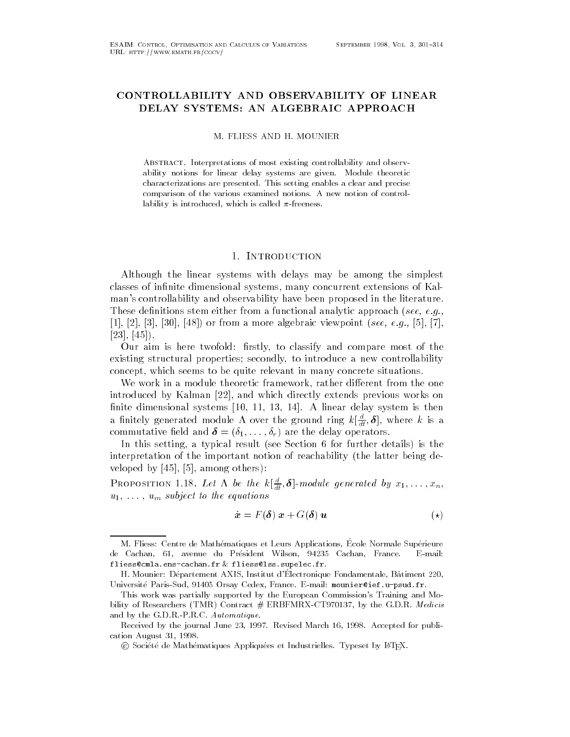# CONTROLLABILITY AND OBSERVABILITY OF LINEAR DELAY SYSTEMS: AN ALGEBRAIC APPROACH

ABSTRACT. Interpretations of most existing controllability and observability notions for linear delay systems are givencharacterizations are presented- This setting enables a clear and precise comparison of the various examined notions- A new notion of control lability is introduced, which is called  $\pi$ -freeness.

# - Introduction

Although the linear systems with delays may be among the simplest classes of in-nite dimensional systems many concurrent extensions of Kal man's controllability and observability have been proposed in the literature. These de-nitions stem either from a functional analytic approach see- eg-   or from a more algebraic viewpoint see- eg- 

Our aim is here twofold -rstly to classify and compare most of the existing structural properties; secondly, to introduce a new controllability concept, which seems to be quite relevant in many concrete situations.

We work in a module theoretic framework, rather different from the one introduced by Kalman and which directly extends previous works on the control of the control of the control of  $\mathbf{1}$  and  $\mathbf{1}$  and  $\mathbf{1}$  and  $\mathbf{1}$  and  $\mathbf{1}$  and  $\mathbf{1}$  and  $\mathbf{1}$  and  $\mathbf{1}$  and  $\mathbf{1}$  and  $\mathbf{1}$  and  $\mathbf{1}$  and  $\mathbf{1}$  and  $\mathbf{1}$  and  $\mathbf{1}$  and  $\mathbf{1}$  and  $\mathbf{1}$  and  $\mathbf{1}$  and a initely generated module A over the ground ring  $\kappa\lfloor\frac{1}{dt},\bm{\sigma}\rfloor,$  where  $\kappa$  is a  $\mathbf{v}$  - r are the delay operators of the definition of  $\mathbf{r}$ 

In this setting, a typical result (see Section 6 for further details) is the interpretation of the important notion of reachability the latter being de veloped by the set of the contract of the contract of the contract of the contract of the contract of the contract of the contract of the contract of the contract of the contract of the contract of the contract of the cont

**PROPOSITION 1.18.** Let  $\Lambda$  be the  $\kappa[\frac{1}{dt}, \mathbf{\sigma}]$ -module generated by  $x_1, \ldots, x_n$ ,  $\blacksquare$  , the subject to the equations of the equations of the equations of the equations of the equations of the equations of the equations of the equations of the equations of the equations of the equations of the equati

$$
\dot{\boldsymbol{x}} = F(\boldsymbol{\delta}) \, \boldsymbol{x} + G(\boldsymbol{\delta}) \, \boldsymbol{u} \tag{*)}
$$

m. Fliess. Centre de Mathematiques et Leurs Applications, Licole Normale Superfeure E-mail: a cachan en morte du President Marchi de Latin Cachan Francesco fliess-cmlaenscachanfr fliess-lsssupelecfr-

 $\rm\,m$  , mounier  $\rm\,m$  Departement  $\rm\,A\rm\,A\rm\,D$  , mistritut denominate Fondamentale, Datiment  $\rm\,220$ ,  $U$  , and the Paris Sud  $U$  are  $U$  and  $U$  are  $U$  and  $U$  are  $U$  and  $U$  are  $U$  and  $U$  are  $U$  and  $U$  are  $U$  and  $U$  are  $U$  and  $U$  are  $U$  and  $U$  are  $U$  and  $U$  are  $U$  and  $U$  are  $U$  and  $U$  are  $U$  and  $U$  a

This work was partially supported by the European Commission's Training and Mobility of Research in the G-contract  $\mathcal{U}$  and  $\mathcal{U}$  and  $\mathcal{U}$  and  $\mathcal{U}$  and  $\mathcal{U}$  and  $\mathcal{U}$  and  $\mathcal{U}$  and  $\mathcal{U}$  and  $\mathcal{U}$  and  $\mathcal{U}$  and  $\mathcal{U}$  and  $\mathcal{U}$  and  $\mathcal{U}$  and  $\mathcal{U}$  and  $\$ and by the G-D-R-P-R-C- Automatique-

received by the journal came any position for the man in the position case public public controls of cation August 31, 1998.

C Societe de Mathematiques Appliquees et Industrielles. Typeset by ETEA.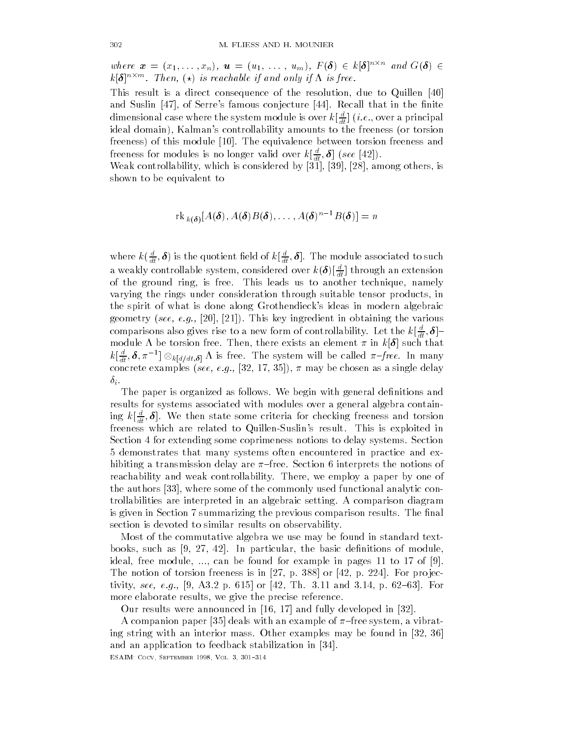where  $\boldsymbol{x} = (x_1, \ldots, x_n), \boldsymbol{u} = (u_1, \ldots, u_m), F(\boldsymbol{\delta}) \in k | \boldsymbol{\delta} |^{n \wedge n}$  and  $G(\boldsymbol{\delta}) \in$  $\kappa$  |  $\sigma$  |  $\cdots$  is then,  $\uparrow \star$  | is reachable if and only if it is free.

This result is a direct consequence of the resolution, due to Quillen [40] and Suslin Suslin Suslin Suslin Suslin Suslin Suslin Suslin Suslin Suslin Suslin Suslin Suslin Suslin Suslin S dimensional case where the system module is over  $\kappa_{\lfloor \overline{dt} \rfloor}$  (*i.e.*, over a principal ideal domain), Kalman's controllability amounts to the freeness (or torsion freeness of this module The equivalence between torsion freeness and freeness for modules is no longer valid over  $\kappa[\frac{1}{dt},\bm{\sigma}]$  (see [42]).

which is controllability which is considered by  $\mathcal{A}$  . The constant is considered by  $\mathcal{A}$ shown to be equivalent to

$$
\mathrm{rk}_{k(\boldsymbol{\delta})}[A(\boldsymbol{\delta}), A(\boldsymbol{\delta})B(\boldsymbol{\delta}), \ldots, A(\boldsymbol{\delta})^{n-1}B(\boldsymbol{\delta})] = n
$$

where  $\kappa(\overline{dt},\bm{\sigma})$  is the quotient held of  $\kappa[\overline{dt},\bm{\sigma}]$ . The module associated to such a weakly controllable system, considered over  $\kappa(\bm{\sigma})[\frac{1}{dt}]$  through an extension of the ground ring, is free. This leads us to another technique, namely varying the rings under consideration through suitable tensor products in the spirit of what is done along Grothendieck's ideas in modern algebraic  $\mathbf{f}$  in obtaining the various intervals in obtaining the various induced in  $\mathbf{f}$ comparisons also gives rise to a new form of controllability. Let the  $\kappa[\frac{1}{dt},\bm{\sigma}]$ module be torsion free Then there exists an element in k such that  $k[\frac{u}{dt},\boldsymbol{\delta},\pi^{-1}]\otimes_{k[d/dt,\boldsymbol{\delta}]} \Lambda$  is free. The system will be called  $\pi–free.$  In many  $\mathbf{r}$  is the concrete example of the concrete examples see  $\mathbf{r}$ 

The paper is organized as follows. We begin with general definitions and results for systems associated with modules over a general algebra contain ing  $\kappa\lfloor\frac{\tau}{dt},\bm{\sigma}\rfloor$ . We then state some criteria for checking freeness and torsion freeness which are related to Quillen-Suslin's result. This is exploited in Section 4 for extending some coprimeness notions to delay systems. Section 5 demonstrates that many systems often encountered in practice and exhibiting a transmission delay are  $\pi$ –free. Section 6 interprets the notions of reachability and weak controllability. There, we employ a paper by one of  $\mathbf t$  and  $\mathbf t$  are some of the commonly used functional analytic commonly used functional analytic control  $\mathbf t$ trollabilities are interpreted in an algebraic setting. A comparison diagram is given in Section summarizing the previous comparison results The -nal section is devoted to similar results on observability

Most of the commutative algebra we use may be found in standard text books such as In particular the basic de-nitions of module ideal free module in pages of example in pages  $\mathbb R$  to  $\mathbb R$  to  $\mathbb R$  to  $\mathbb R$  to  $\mathbb R$  to  $\mathbb R$  to  $\mathbb R$  to  $\mathbb R$ The notion of torsion freeness is in p  or p For pro jec ...., even find that we have been as the state which can be a set of  $\mathbb{P}^1$ more elaborate results, we give the precise reference.

Our results were announced in and fully developed in 

a companion paper jos, with with the compact of the system of the control ing string with an interior mass. Other examples may be found in  $[32, 36]$ and and application to feedback stabilization in the stabilization in the stabilization in the stabilization in

esante coco e este comentante con el septembro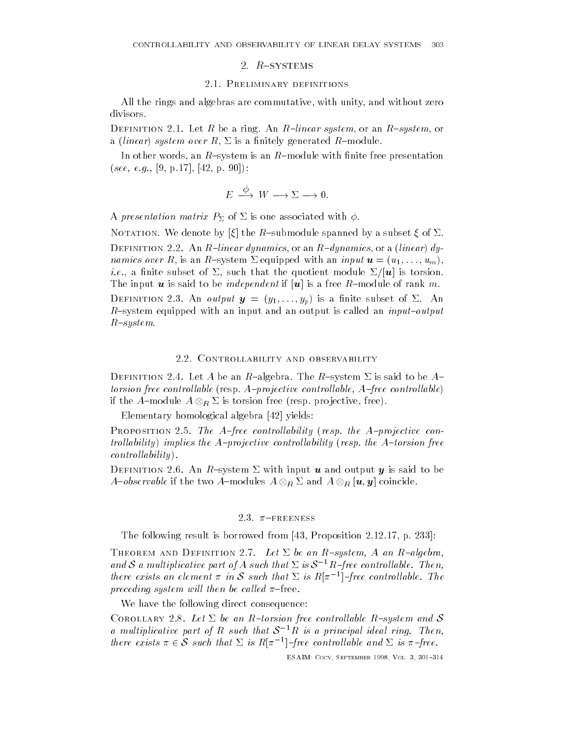## 2.1. PRELIMINARY DEFINITIONS

All the rings and algebras are commutative, with unity, and without zero

Definition - Let R be a ring An Rlinear system or an Rsystem or a linear system over Rmodule Rmodule Rmodule Rmodule Rmodule Rmodule Rmodule Rmodule Rmodule Rmodule Rmodule R

In other words an Rsystem is an Rmodule with -nite free presentation see and the seeds of the second contract of the second contract of the second contract of the second contract of the second contract of the second contract of the second contract of the second contract of the second contra

$$
E \stackrel{\phi}{\longrightarrow} W \longrightarrow \Sigma \longrightarrow 0.
$$

A presentation matrix P of is one associated with

Notation We denote by the Rsubmodule spanned by a subset of Definition - An Rlinear dynamics or an Rdynamics or a linear dy namics over  $\mathbf{R}$  is an input under  $\mathbf{R}$  in input under  $\mathbf{R}$  in input under  $\mathbf{R}$  in input under  $\mathbf{R}$ ies is to a subset of the subset of the subset of the subset of the subset of the subset of the subset of the The input use  $\mathbf r$  is a free Rmodule of rank measurement if use  $\mathbf r$  and  $\mathbf r$  and  $\mathbf r$  and  $\mathbf r$  and  $\mathbf r$  and  $\mathbf r$  and  $\mathbf r$  and  $\mathbf r$  and  $\mathbf r$  and  $\mathbf r$  and  $\mathbf r$  and  $\mathbf r$  and  $\mathbf r$  and  $\mathbf r$  and Definition - An output <sup>y</sup> y- -yp is a -nite subset of An R-system equipped with an input and an output is called an  $input-output$  $R$  -system.

### 2.2. CONTROLLABILITY AND OBSERVABILITY

 $\mathbb{R}^n$  and  $\mathbb{R}^n$  be an Ralgebra Theorem is said to be an Ralgebra Theorem is said to be Appendix to be Appendix to be Appendix to be Appendix to be Appendix to be Appendix to be Appendix to be Appendix to be Appe torsion free controllable resp Aprojective control lable- Afree controllable if the A-module  $A\otimes_R\Sigma$  is torsion free (resp. projective, free).

Elementary homological algebra yields

Proposition - The Afree controllability resp the Aprojective con trollability implies the A-projective controllability (resp. the A-torsion free  $controllability$ .

out an extended output that is said to be an analyze with input y is said to be a said to be a said to be a sa *A-observable* if the two *A-*modules  $A \otimes_R \Sigma$  and  $A \otimes_R |\boldsymbol{u},\boldsymbol{y}|$  coincide.

# 2.3.  $\pi$ -FREENESS

The following result is borrowed from  $\Gamma$  . The following result is borrowed from  $\Gamma$ 

Theorem and Definition - Let be an Rsystem- A an Ralgebraand S a multiplicative part of A such that  $\Sigma$  is  $S^{-1}R$ -free controllable. Then, there exists an element  $\pi$  in S such that  $\Sigma$  is  $R[\pi^{-1}]$ -free controllable. The preceding system will then be called  $\pi$ -free.

We have the following direct consequence:

COROLLARY 2.8. Let  $\Sigma$  be an R-torsion free controllable R-system and S a multiplicative part of R such that  $S^{-1}R$  is a principal ideal ring. Then, there exists  $\pi \in S$  such that  $\Sigma$  is  $R[\pi^{-1}]$ -free controllable and  $\Sigma$  is  $\pi$ -free.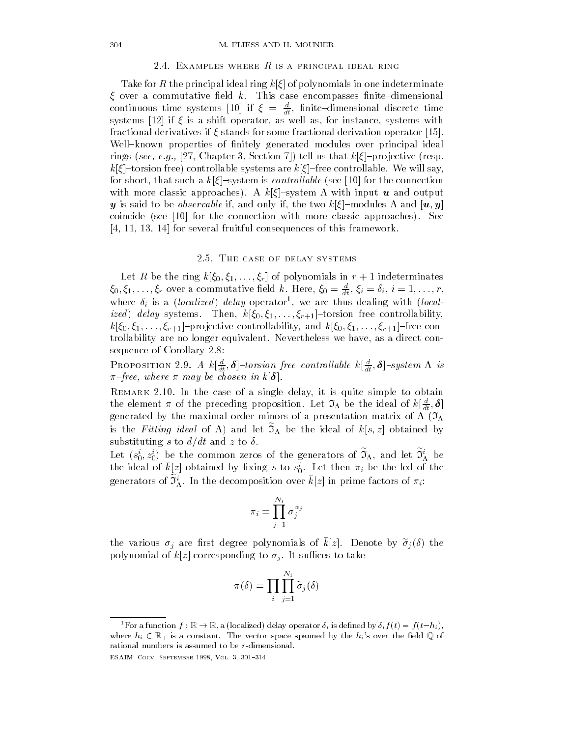Take for R the principal ideal ring k of polynomials in one indeterminate over a commutative -eld k This case encompasses -nitedimensional continuous time systems [10] if  $\xi = \frac{1}{dt}$ , inite-dimensional discrete time systems if it is a shift operator as well as instance systems with our instance systems with a shift of instance systems with a shift of the system of the system of the system of the system of the system of the system of t fractional derivatives if stands for some fractional derivation operator Wellknown properties of -nitely generated modules over principal ideal rings see-contract the section of the section of the contract of the contract of the contract of the contract o k torsion free controllable systems are k free controllable We will say for short that such a k system is control lable see for the connection with more classic approaches A k system with input <sup>u</sup> and output  $y \sim \frac{1}{2}$  is said to be observable if the two kinds of the two kinds of the two kinds of the two kinds of the two kinds of the two kinds of the two kinds of the two kinds of the two kinds of the two kinds of the two ki coincide see for the connection with more classic approaches See  for several fruitful consequences of this framework

# 2.5. THE CASE OF DELAY SYSTEMS

 $\mathbf{C}$  be the ring contract the ring contract  $\mathbf{C}$  and  $\mathbf{C}$  independent of  $\mathbf{C}$  $\zeta_0, \zeta_1, \ldots, \zeta_r$  over a commutative neight. Here,  $\zeta_0 = \frac{1}{dt}, \zeta_i = \delta_i, \, i=1,\ldots,r,$ where  $\sigma_i$  is a *Liocalized* called dealing with localized and the controllability of the controllability  $\mathcal{N}$  is the controllability of the controllability of  $\mathcal{N}$ الجايد للجرافلا الماليان والمحتمل المالية المراجع والمحتمل والمحتمل المتحدث trollability are no longer equivalent. Nevertheless we have, as a direct consequence of Corollary 2.8:

**PROPOSITION 2.9.** A  $\kappa[\frac{1}{dt}, \mathbf{\sigma}]$ -torsion free controllable  $\kappa[\frac{1}{dt}, \mathbf{\sigma}]$ -system  $\Lambda$  is free- where may be chosen in k

 $\mathcal{L}$ the element  $\pi$  of the preceding proposition. Let  $J_\Lambda$  be the ideal of  $\kappa\lfloor \frac{\tau}{dt}, \sigma\rfloor$ generated by the maximal order minors of a presentation matrix of  $\Lambda$  ( $\mathfrak{I}_{\Lambda}$ is the Fitting meat of  $\Lambda$  and let  $\mathcal{I}_\Lambda$  be the ideal of  $\kappa(s,z)$  obtained by substituting s to  $d/dt$  and z to  $\delta$ .

Let  $(s_0, z_0)$  be the common zeros of the generators of  $\mathcal{I}_\Lambda$ , and let  $\mathcal{I}_\Lambda$  be the ideal of  $\kappa[z]$  obtained by fixing s to  $s_0^{\cdot}$ . Let then  $\pi_i$  be the lcd of the generators of  $\mathcal{I}_\Lambda$ . In the decomposition over  $\kappa[z]$  in prime factors of  $\pi_i$ :

$$
\pi_i = \prod_{j=1}^{N_i} \sigma_j^{\alpha_j}
$$

the various  $\sigma_j$  are mot degree polynomials of  $\kappa |z|$ . Denote by  $\sigma_j(\sigma)$  the polynomial of  $\kappa |z|$  corresponding to  $\sigma_j$ . It sumes to take

$$
\pi(\delta) = \prod_i \prod_{j=1}^{N_i} \widetilde{\sigma}_j(\delta)
$$

For a function  $f: \mathbb{R} \to \mathbb{R}$ , a (localized) delay operator  $\delta_i$  is defined by  $\delta_i f(t) = f(t - h_i)$ , where his  $\epsilon$  and the vector space space space space space space space space space space  $q$  or rational numbers is assumed to be  $r$ -dimensional.

esante coco e este comentante con el septembro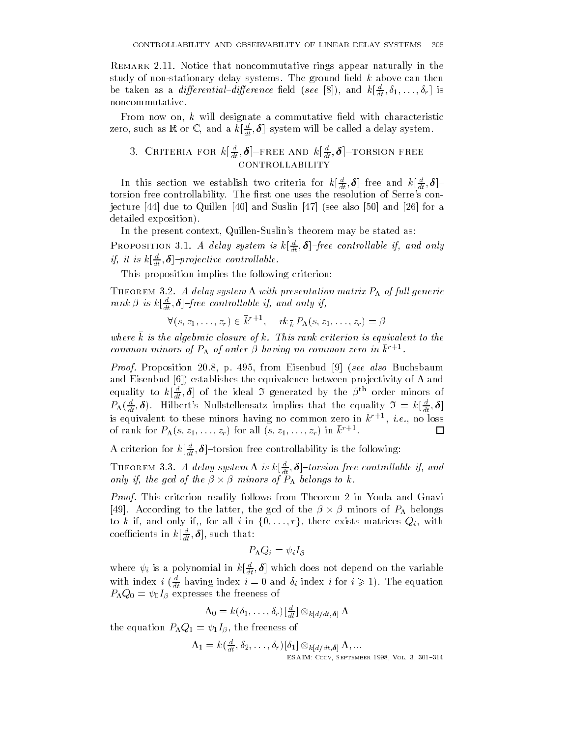Notice that noncommutative rings appear naturally in the study of nonstationary delay systems The ground -eld k above can then be taken as a *ayjerential-ayjerence* neid (see [8]), and  $\kappa[\frac{1}{dt}, o_1, \ldots, o_r]$  is noncommutative

 $\mathbf{f}$  will design a commutative  $\mathbf{f}$ zero, such as  $\mathbb{R}$  or  $\mathbb{C},$  and a  $\kappa[\overline{d}\overline{t},\boldsymbol{\theta}]$  -system will be called a delay system.

# 3. URITERIA FOR  $\kappa[\frac{\cdot}{dt},\bm{\theta}]$  -free and  $\kappa[\frac{\cdot}{dt},\bm{\theta}]$  -torsion free **CONTROLLABILITY**

In this section we establish two criteria for  $\kappa[\frac{1}{dt}, \bm{\sigma}]$  -free and  $\kappa[\frac{1}{dt}, \bm{\sigma}]$  torsion free controllability The -rst one uses the resolution of Serres con jecture due to Quillen and Suslin see also and for a detailed exposition).

In the present context, Quillen-Suslin's theorem may be stated as: **PROPOSITION 3.1.** A delay system is  $\kappa[\frac{1}{dt}, \mathbf{0}]$ -free controllable if, and only  $y, u$  is  $\kappa_{\lfloor \frac{n}{dt}, \theta \rfloor}$ -projective controllable.

This proposition implies the following criterion

 $\mathcal{A}$  delay system in the delay system of function  $\mathcal{A}$  and  $\mathcal{A}$  and  $\mathcal{A}$  and  $\mathcal{A}$ rank is k <sup>d</sup> dt - free control lable if- and only if-

$$
\forall (s,z_1,\ldots,z_r) \in \bar{k}^{r+1}, \quad \textit{rk}_{\,\bar{k}}\,P_{\Lambda}(s,z_1,\ldots,z_r) = \beta
$$

where k is the algebraic closure of k. This rank criterion is equivalent to the common minors of  $F_{\Lambda}$  of order  $\rho$  naving no common zero in  $\kappa$  .  $\cdot$ 

Proof Proposition 
 p from Eisenbud see also Buchsbaum and Eisenbud is the establishes the equivalence between problems pro jectivity of and the equivalence between p equality to  $\kappa[\frac{1}{dt},\bm{\sigma}]$  of the ideal  $\bm{\beta}$  generated by the  $\beta$  order minors of  $\Gamma \Lambda(\overline{dt},\bm{\theta})$ . Hilbert's Nullstellensatz implies that the equality  $\mathcal{Y} \ = \ \kappa \lfloor \overline{dt}, \bm{\theta} \rfloor$ is equivalent to these minors having no common zero in  $\kappa$  (  $r$  ,  $\imath.e.$  no loss  $\Box$ of rank for  $P_{\Lambda}(s,z_1,\ldots,z_r)$  for all  $(s,z_1,\ldots,z_r)$  in  $\kappa$  .

A criterion for  $\kappa\lfloor \frac{1}{dt},\bm{\theta}\rfloor$ -torsion free controllability is the following:

**THEOREM 3.3.** A delay system  $\Lambda$  is  $\kappa[\frac{1}{dt}, \mathbf{0}]$ -torsion free controllable if, and only if, the gcd of the  $\beta \times \beta$  minors of  $P_\Lambda$  belongs to k.

Proof. This criterion readily follows from Theorem 2 in Youla and Gnavi [49]. According to the latter, the gcd of the  $\beta \times \beta$  minors of  $P_{\Lambda}$  belongs to  $k$  if, and only if,, for all  $i$  in  $\{0,\ldots,r\},$  there exists matrices  $Q_i$ , with coemcients in  $\kappa_{\lfloor \overline{dt}}, \textbf{\textit{o}}],$  such that:

$$
P_{\Lambda}Q_i=\psi_iI_{\beta}
$$

where  $\psi_i$  is a polynomial in  $\kappa[\frac{\tau}{dt},\bm{\sigma}]$  which does not depend on the variable with index  $i$  ( $\frac{d}{dt}$  having index  $i = 0$  and  $\delta_i$  index  $i$  for  $i \geq 1$ ). The equation  $P_{\Lambda}Q_0=\psi_0I_{\beta}$  expresses the freeness of

$$
\Lambda_0 = k(\delta_1,\ldots,\delta_r)[\tfrac{d}{dt}]\otimes_{k[d/dt,\boldsymbol{\delta}]} \Lambda
$$

the equation  $P_{\Lambda}Q_1 = \psi_1 I_{\beta}$ , the freeness of

$$
\Lambda_1 = k(\tfrac{d}{dt}, \delta_2, \ldots, \delta_r)[\delta_1] \otimes_{k[d/dt,\delta]} \Lambda, \ldots
$$
  
ESAIN: Cocy, September 1998, Vol. 3, 301-314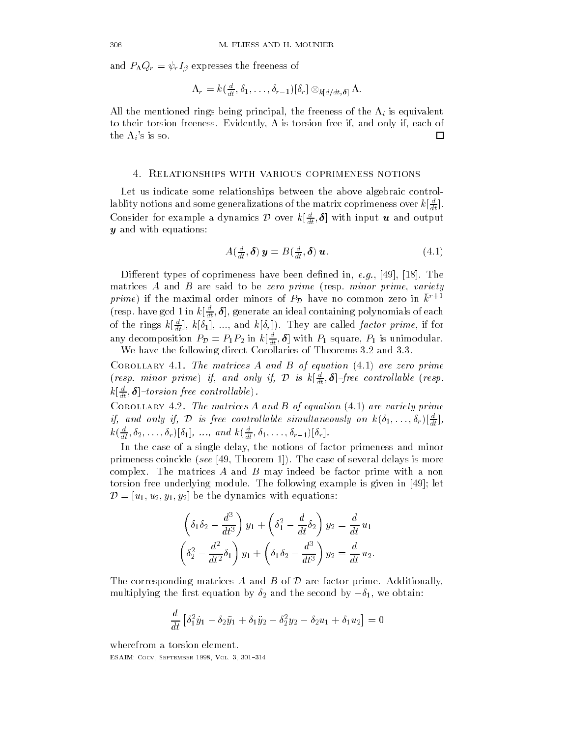and  $P_{\Lambda}Q_{r}=\psi_{r}I_{\beta}$  expresses the freeness of

$$
\Lambda_r = k(\tfrac{d}{dt}, \delta_1, \ldots, \delta_{r-1})[\delta_r] \otimes_{k[d/dt,\delta]} \Lambda.
$$

All the mentioned rings being principal, the freeness of the  $\Lambda_i$  is equivalent to their torsion freeness. Evidently,  $\Lambda$  is torsion free if, and only if, each of the  $\Lambda_i$ 's is so. □

### - Relationships with various coprimeness notions

Let us indicate some relationships between the above algebraic control labilty notions and some generalizations of the matrix coprimeness over  $\kappa_{\lfloor \frac{7t}{dt} \rfloor}$ . Consider for example a dynamics  $\mathcal D$  over  $k[\frac{u}{dt},\boldsymbol \delta]$  with input  $\boldsymbol u$  and output  $y$  and with equations:

$$
A\left(\frac{d}{dt},\boldsymbol{\delta}\right)\boldsymbol{y}=B\left(\frac{d}{dt},\boldsymbol{\delta}\right)\boldsymbol{u}.\tag{4.1}
$$

Dierent types of coprimeness have been de-ned in eg The matrices A and B are said to be zero prime (resp. minor prime, variety prime) if the maximal order minors of  $P_{\mathcal{D}}$  have no common zero in  $\bar{k}^{r+1}$ (resp. nave gcd 1 m  $\kappa_{[{\overline{dt}}}, \sigma_{]},$  generate an ideal containing polynomials of each of the rings  $\kappa[\frac{\pi}{dt}], \kappa[0_1], \ldots$ , and  $\kappa[0_r]).$  They are called *factor prime*, if for any decomposition  $P_{\mathcal{D}} = P_1 P_2$  in  $\kappa[\frac{1}{dt}, \mathbf{o}]$  with  $P_1$  square,  $P_1$  is unimodular. We have the following direct Corollaries of Theorems  $3.2$  and  $3.3$ .

Corollary and The Matrices A and B of equation  $\mathcal{E}$  and  $\mathcal{E}$  are  $\mathcal{E}$ (resp. minor prime) if, and only if,  $\mathcal D$  is  $k\lfloor \frac{a}{dt}, \boldsymbol \delta \rfloor$ -free controllable (resp.  $\kappa_{\lfloor \frac{1}{dt},\boldsymbol{0}\rfloor}$ -torsion free controllable).

Corollary - The matrices A and B of equation are variety prime if, and only if, D is free controllable simultaneously on  $k(\delta_1,\ldots,\delta_r) \lfloor \frac{a}{dt} \rfloor$ ,  $k(\frac{1}{dt}, 0_2, \ldots, 0_r)$ [01], ..., and  $k(\frac{1}{dt}, 0_1, \ldots, 0_{r-1})$ [0<sub>r</sub>].

In the case of a single delay, the notions of factor primeness and minor prime see The case of see Theorem and the case of several delays is more case of several delays is more case complex. The matrices  $A$  and  $B$  may indeed be factor prime with a non torsion free underlying module  $\mathbf{f}_1$  and for  $\mathbf{f}_2$  in a single in the following example is given in the following example in the following example is given in the following example in the following example in the  $\mathcal{D} = [u_1, u_2, y_1, y_2]$  be the dynamics with equations:

$$
\left(\delta_1 \delta_2 - \frac{d^3}{dt^3}\right) y_1 + \left(\delta_1^2 - \frac{d}{dt} \delta_2\right) y_2 = \frac{d}{dt} u_1
$$
  

$$
\left(\delta_2^2 - \frac{d^2}{dt^2} \delta_1\right) y_1 + \left(\delta_1 \delta_2 - \frac{d^3}{dt^3}\right) y_2 = \frac{d}{dt} u_2.
$$

The corresponding matrices A and B of  $\mathcal D$  are factor prime. Additionally,  $m$ ultiplying the mist equation by  $\sigma_2$  and the second by  $-\sigma_1$ , we obtain.

$$
\frac{d}{dt} \left[ \delta_1^2 \dot{y}_1 - \delta_2 \ddot{y}_1 + \delta_1 \ddot{y}_2 - \delta_2^2 y_2 - \delta_2 u_1 + \delta_1 u_2 \right] = 0
$$

wherefrom a torsion element esante coco e este comentante con el septembro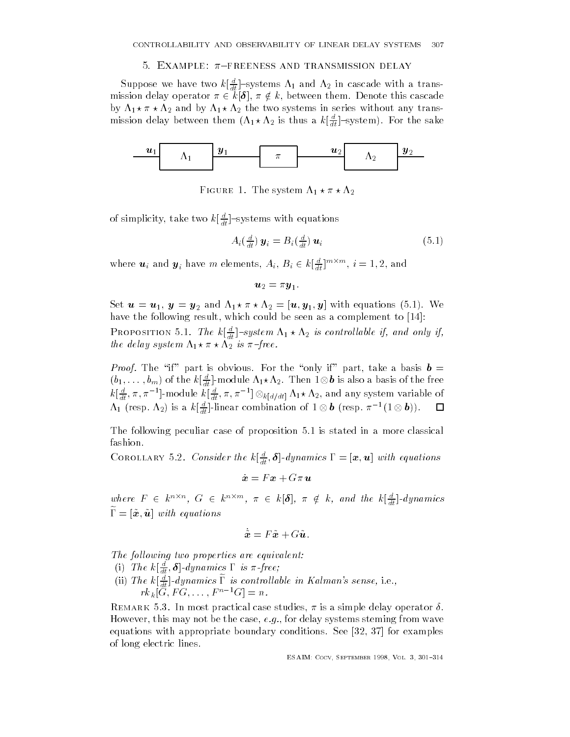### J. EXAMPLE. # TREENESS AND IRANSMISSION DELAY

Suppose we have two  $\kappa[\frac{1}{dt}]$ -systems  $\Lambda_1$  and  $\Lambda_2$  in cascade with a transmission delay operator  $\pi \in k{\mathord{\restriction}}{\mathbf{o}}$  ,  $\pi \notin k,$  between them. Denote this cascade by  $\Lambda_1 \star \pi \star \Lambda_2$  and by  $\Lambda_1 \star \Lambda_2$  the two systems in series without any transmission delay between them  $(\Lambda_1\star\Lambda_2)$  is thus a  $\kappa\lfloor \frac{1}{dt} \rfloor$  -system). For the sake



Figure - The system

of simplicity, take two  $\kappa_{\lfloor \frac{dt}{dt} \rfloor}$  -systems with equations

$$
A_i\left(\frac{d}{dt}\right)\mathbf{y}_i = B_i\left(\frac{d}{dt}\right)\mathbf{u}_i \tag{5.1}
$$

where  $\bm{u}_i$  and  $\bm{y}_i$  have  $m$  elements,  $A_i,$   $B_i \in k[\frac{u}{dt}]^{m \times m},$   $i=1,2,$  and

$$
\bm{u}_2=\pi\bm{y}_1.
$$

Set <sup>u</sup> u <sup>y</sup> y and u- y- <sup>y</sup> with equations We have the following result which could be seen as a complement to 

**PROPOSITION 5.1.** The  $\kappa[\frac{1}{dt}]$ -system  $\Lambda_1 \star \Lambda_2$  is controllable if, and only if, the delay system  $\Lambda_1 \star \pi \star \Lambda_2$  is  $\pi$ -free.

*Proof.* The "if" part is obvious. For the "only if" part, take a basis  $\mathbf{b} =$  $(b_1,\ldots,b_m)$  of the  $k\lfloor\frac{a}{dt}\rfloor$ -module  $\Lambda_1\star\Lambda_2.$  Then  $1\otimes\bm{b}$  is also a basis of the free  $k[\frac{u}{dt}, \pi, \pi^{-1}]$ -module  $k[\frac{u}{dt}, \pi, \pi^{-1}] \otimes_{k[d/dt]} \Lambda_1 \star \Lambda_2$ , and any system variable of  $\Box$  $\Lambda_1$  (resp.  $\Lambda_2$ ) is a  $k[\frac{u}{dt}]$ -linear combination of  $1\otimes \bm{b}$  (resp.  $\pi^{-1}(1\otimes \bm{b}))$ .

The following peculiar case of proposition 5.1 is stated in a more classical fashion

COROLLARY 3.2. Consider the  $k[\frac{d}{dt}, \mathbf{0}]$ -aynamics  $1 = [\mathbf{x}, \mathbf{u}]$  with equations

$$
\dot{\boldsymbol{x}}=F\boldsymbol{x}+G\pi\,\boldsymbol{u}
$$

where  $F \in k^{n \times n}$ ,  $G \in k^{n \times m}$ ,  $\pi \in k[\delta]$ ,  $\pi \notin k$ , and the  $k[\frac{\pi}{dt}]$ -dynamics  $1 - \alpha, u$  with equations

$$
\tilde{\boldsymbol{x}} = F\tilde{\boldsymbol{x}} + G\tilde{\boldsymbol{u}}.
$$

The following two properties are equivalent:

- (1) The  $\kappa[\frac{1}{dt}, \mathbf{\sigma}]$ -aynamics 1 is  $\pi$ -free;
- (ii) The  $\kappa_{\lfloor \frac{n}{dt} \rfloor}$ -aynamics 1 is controllable in Kalman's sense, i.e.,  $r\kappa_k$  |  $\sigma$  ,  $\Gamma$   $\sigma$  ,  $\ldots$  ,  $\Gamma$   $\Gamma$   $\sigma$  |  $\Gamma$  =  $n$ .

Remark - In most practical case studies is a simple delay operator However, this may not be the case,  $e.g.,$  for delay systems steming from wave equations with a propriate boundary conditions  $\mathcal{A}$  and  $\mathcal{A}$  appropriate boundary conditions  $\mathcal{A}$ of long electric lines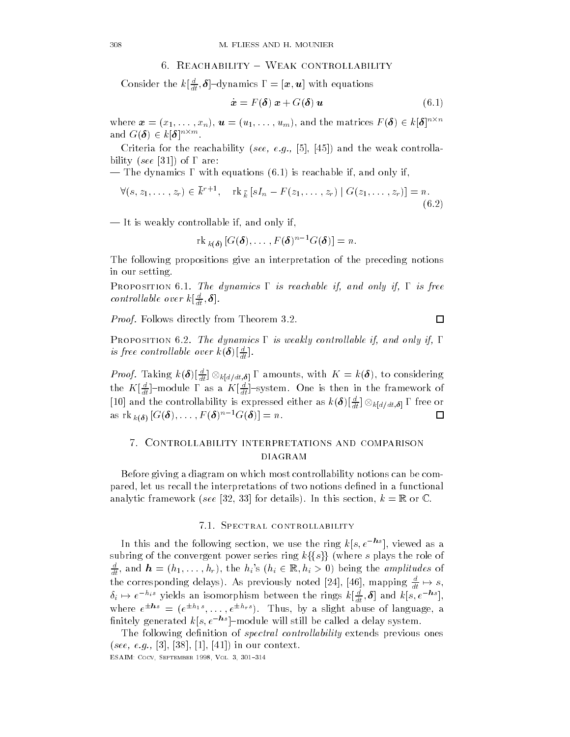# 0. REACHABILITY = WEAK CONTROLLABILITY

Consider the  $\kappa_{\lfloor \frac{\pi t}{dt}, \bm{\theta} \rfloor}$ -dynamics  $\bm{\mathsf{I}}\ =\bm{\mathsf{I}}\bm{x}, \bm{u} \bm{\mathsf{I}}$  with equations

$$
\dot{\boldsymbol{x}} = F(\boldsymbol{\delta}) \; \boldsymbol{x} + G(\boldsymbol{\delta}) \; \boldsymbol{u} \tag{6.1}
$$

where  $\bm{x}=(x_1,\ldots,x_n),\,\bm{u}=(u_1,\ldots,u_m),$  and the matrices  $F(\bm{\delta})\in k|\bm{\delta}|^{n\times n}$ and  $G(\boldsymbol{\theta}) \in k[\boldsymbol{\theta}]^{n \times m}$ .

Criteria for the reachability see- eg- and the weak controlla  $\mathbf{a}$  are are as an area of  $\mathbf{a}$  are as an area of  $\mathbf{a}$ 

— The dynamics  $\Gamma$  with equations (6.1) is reachable if, and only if,

$$
\forall (s, z_1, \ldots, z_r) \in \overline{k}^{r+1}, \quad \text{rk }_{\overline{k}} \left[ sI_n - F(z_1, \ldots, z_r) \mid G(z_1, \ldots, z_r) \right] = n.
$$
\n
$$
(6.2)
$$

 $-$  It is weakly controllable if, and only if,

 $\lbrack \text{rk }_{k(\delta)} \lfloor G(\mathbf{0}),\ldots, F(\mathbf{0})\rfloor = n.$ 

The following propositions give an interpretation of the preceding notions in our setting

Proposition and only if-dynamics # is reachable if-dynamics # is free if-dynamics # is free if-dynamics # is f controllable over  $\kappa_{\lfloor \frac{n}{dt},\mathbf{0} \rfloor}$ .

*Proof.* Follows directly from Theorem 3.2.

Proposition - The dynamics # is weakly control lable if- and only if- # is free controllable over  $\kappa(\boldsymbol{\sigma})[\frac{1}{dt}]$ .

*Proof.* Taking  $k(\boldsymbol{\delta})\lfloor \frac{u}{dt} \rfloor \otimes_{k[d/dt,\boldsymbol{\delta}]} V$  amounts, with  $K = k(\boldsymbol{\delta})$ , to considering the  $K\left[\frac{\tau}{dt}\right]$ -module 1 as a  $K\left[\frac{\tau}{dt}\right]$ -system. One is then in the framework of [10] and the controllability is expressed either as  $k(\boldsymbol{\delta})|_{\frac{d}{dt}|}^{\frac{\alpha}{d}} \otimes_{k[d/dt,\boldsymbol{\delta}]} \Gamma$  free or  $\Box$ as  $\text{rk } k(\delta)$  [ $\text{tr}(\boldsymbol{\theta}), \ldots, F(\boldsymbol{\theta})$   $\text{tr}(\boldsymbol{\theta})$ ]  $\equiv n$ .

# - Controllability interpretations and comparison diagram

Before giving a diagram on which most controllability notions can be com pared let us recall the interpretations of two notions de-ned in a functional and the section of the set  $\{z=1,2,3\}$  and the section is the section for the section  $\mathcal{L}$  .

## 7.1. SPECTRAL CONTROLLABILITY

In this and the following section, we use the ring  $\kappa(s, e^{-\epsilon \tau})$ , viewed as a subring of the convergent power series ring  $k\{\{s\}\}\$  (where s plays the role of  $\frac{d}{dt}$ , and  $\bm{h}=(h_1,\ldots,h_r),$  the  $h_i$ 's  $(h_i\in\mathbb{R},h_i>0)$  being the amplitudes of the corresponding delays). As previously noted [24], [46], mapping  $\frac{u}{dt} \mapsto s,$  $\delta_i \mapsto e^{-\alpha_i s}$  yields an isomorphism between the rings  $k[\frac{1}{dt},\boldsymbol{\delta}]$  and  $k[s,e^{-\alpha s}],$ where  $e^{\pm i\omega t} = (e^{\pm i\omega t} \cdot, \dots, e^{\pm i\omega t} \cdot)$ . Thus, by a slight abuse of language, a  $\min$ enerated  $\kappa|s,e\rangle = \min$  and  $\min$  still be called a delay system.

The following de-nition of spectral controllability extends previous ones see - and the second the state of the context of the second second second second second second second second second second second second second second second second second second second second second second second second s

$$
\qquad \qquad \Box
$$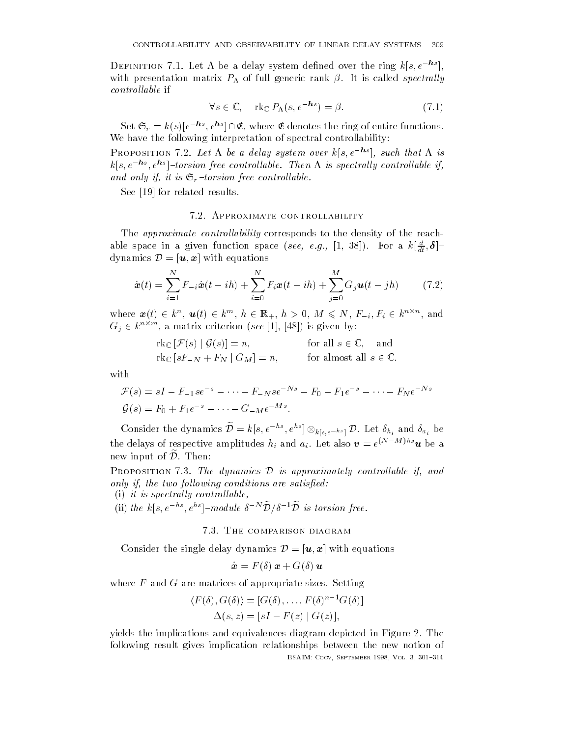DEFINITION (1.1) Let A be a delay system defined over the ring  $\kappa |s,e=|$ , with presentation matrix  $P_{\Lambda}$  of full generic rank  $\beta$ . It is called spectrally *controllable* if

$$
\forall s \in \mathbb{C}, \quad \text{rk}_{\mathbb{C}} \, P_{\Lambda}(s, e^{-\mathbf{h}s}) = \beta. \tag{7.1}
$$

Set  $\mathfrak{S}_r = k(s) | e^{-ns}, e^{ns} | \cap \mathfrak{E}$ , where  $\mathfrak E$  denotes the ring of entire functions. We have the following interpretation of spectral controllability

**FROPOSITION 1.2. Let**  $\Lambda$  **be a delay system over**  $\kappa | s, e = 1$ **, such that**  $\Lambda$  **is** ks- e-hs - ehs torsion free control lable Then is spectral ly control lable ifand only if it is strong from the control label on  $\mathcal{A}$ 

See for related results

# 7.2. APPROXIMATE CONTROLLABILITY

The *approximate controllability* corresponds to the density of the reachable space in a given function space (see, e.g., [1, 38]). For a  $\kappa[\frac{1}{dt},\bm{\sigma}]^\perp$ dynamics  $\mathcal{D} = |\boldsymbol{u}, \boldsymbol{x}|$  with equations

$$
\dot{\boldsymbol{x}}(t) = \sum_{i=1}^{N} F_{-i} \dot{\boldsymbol{x}}(t - ih) + \sum_{i=0}^{N} F_{i} \boldsymbol{x}(t - ih) + \sum_{j=0}^{M} G_{j} \boldsymbol{u}(t - jh)
$$
(7.2)

where  $\bm{x}(t) \in k^n$ ,  $\bm{u}(t) \in k^m$ ,  $h \in \mathbb{K}_+$ ,  $h > 0$ ,  $M \leqslant N$ ,  $F_{-i}$ ,  $F_i \in k^{n \wedge n}$ , and  $G_i \in k^{n \times m}$ , a matrix criterion (see [1], [48]) is given by:

$$
\mathrm{rk}_{\mathbb{C}}\left[\mathcal{F}(s) \mid \mathcal{G}(s)\right] = n, \quad \text{for all } s \in \mathbb{C}, \text{ and}
$$
\n
$$
\mathrm{rk}_{\mathbb{C}}\left[sF_{-N} + F_{N} \mid G_{M}\right] = n, \quad \text{for almost all } s \in \mathbb{C}.
$$

with

$$
\mathcal{F}(s) = sI - F_{-1}se^{-s} - \dots - F_{-N}se^{-Ns} - F_0 - F_1e^{-s} - \dots - F_Ne^{-Ns}
$$
  

$$
\mathcal{G}(s) = F_0 + F_1e^{-s} - \dots - G_{-M}e^{-Ms}.
$$

Consider the dynamics  $\mathcal{D}=k[s,e^{-ns},e^{ns}]\otimes_{k[s,e^{-hs}]} \mathcal{D}.$  Let  $\delta_{h_i}$  and  $\delta_{a_i}$  be the delays of respective amplitudes  $n_i$  and  $a_i$ . Let also  $\bm{v} = e^{i\gamma}$  and  $\bm{u}$  be a new input of  $\mathcal{\tilde{D}}.$  Then:

PROPOSITION 7.3. The dynamics  $\mathcal D$  is approximately controllable if, and only if the two follows are satisfactories and controlled the satisfactory

(i) it is spectrally controllable,

(ii) the k|s,  $e^{-ns}$ ,  $e^{ns}$ |-module  $\delta^{-N} \mathcal{D}/\delta^{-1} \mathcal{D}$  is torsion free.

# 7.3. THE COMPARISON DIAGRAM

Consider the single delay dynamics  $\mathcal{D} = |\boldsymbol{u}, \boldsymbol{x}|$  with equations

 $\dot{\boldsymbol{x}} = F(\delta) \boldsymbol{x} + G(\delta) \boldsymbol{u}$ 

where  $F$  and  $G$  are matrices of appropriate sizes. Setting

$$
\langle F(\delta), G(\delta) \rangle = [G(\delta), \dots, F(\delta)^{n-1} G(\delta)]
$$
  

$$
\Delta(s, z) = [sI - F(z) | G(z)],
$$

yields the implications and equivalences diagram depicted in Figure 2. The following result gives implication relationships between the new notion of esaine i in centrale anno 1999, com a contrat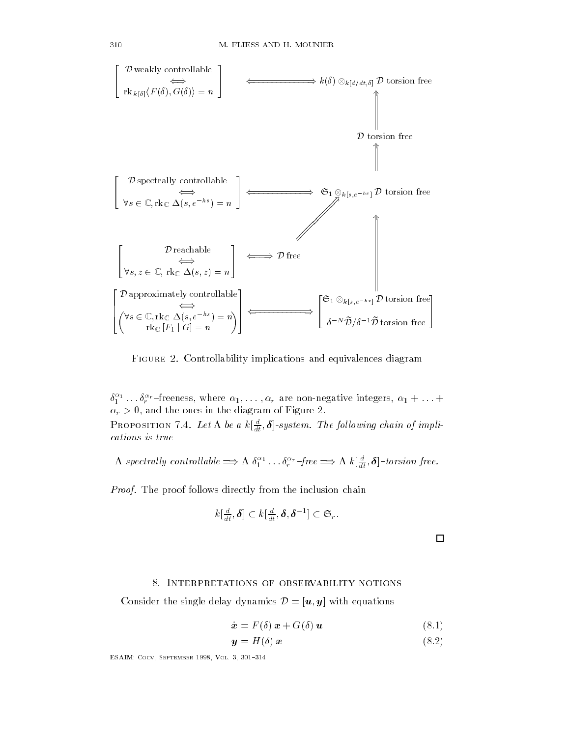

Figure - Controllability implications and equivalences diagram

 $\delta_{1}^{-1}\ldots\delta_{r}^{-treeness, where  $\alpha_{1},\ldots,\alpha_{r}$  are non-negative integers,  $\alpha_{1}+\ldots+$$  $\alpha_r > 0$ , and the ones in the diagram of Figure 2. **FROPOSITION** 1.4. Let  $\Lambda$  be a  $\kappa \left[ \frac{d}{dt}, \bm{\theta} \right]$ -system. The following chain of impucations is true

 $\Lambda$  spectrally controllable  $\Longrightarrow \Lambda \delta_1^{\alpha_1} \ldots \delta_r^{\alpha_r}$  -free  $\Longrightarrow \Lambda \kappa \lfloor \frac{u}{dt}, \boldsymbol{\delta} \rfloor$ -torsion free.

Proof. The proof follows directly from the inclusion chain

$$
k\left[\frac{d}{dt},\boldsymbol{\delta}\right]\subset k\left[\frac{d}{dt},\boldsymbol{\delta},\boldsymbol{\delta}^{-1}\right]\subset\mathfrak{S}_r.
$$

 $\Box$ 

### - Interpretations of observability notions

Consider the single delay dynamics  $\mathcal{D} = [\boldsymbol{u}, \boldsymbol{y}]$  with equations

$$
\dot{\boldsymbol{x}} = F(\delta) \boldsymbol{x} + G(\delta) \boldsymbol{u} \tag{8.1}
$$

$$
y = H(\delta) x \tag{8.2}
$$

esante coco e este comentante con el septembro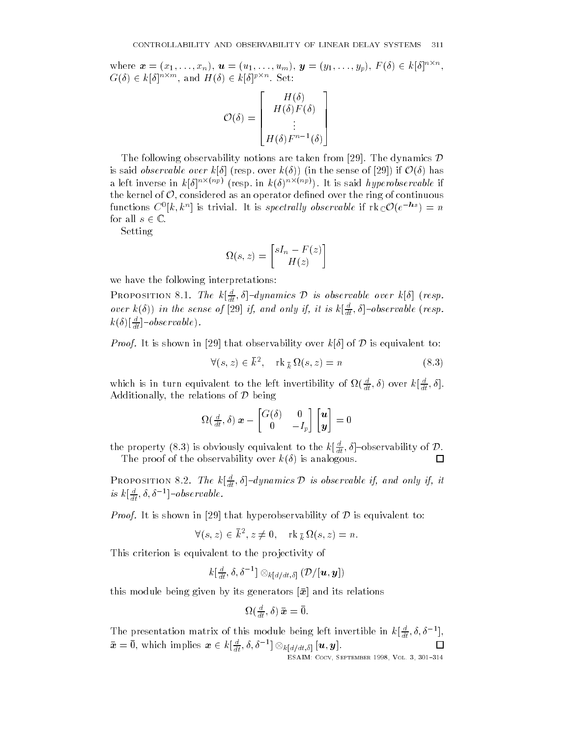where  $\boldsymbol{x} = (x_1, \ldots, x_n)$ ,  $\boldsymbol{u} = (u_1, \ldots, u_m)$ ,  $\boldsymbol{y} = (y_1, \ldots, y_p)$ ,  $F(\delta) \in k[\delta]^{n \times n}$ ,<br>  $G(\delta) \in k[\delta]^{n \times m}$ , and  $H(\delta) \in k[\delta]^{p \times n}$ . Set:

$$
\mathcal{O}(\delta) = \begin{bmatrix} H(\delta) \\ H(\delta)F(\delta) \\ \vdots \\ H(\delta)F^{n-1}(\delta) \end{bmatrix}
$$

The following observability notions are taken from [29]. The dynamics  ${\cal D}$ is said *observable over*  $k[\delta]$  (resp. over  $k(\delta)$ ) (in the sense of [29]) if  $\mathcal{O}(\delta)$  has a left inverse in  $\kappa | \sigma |^{(m_1, n_2)}$  (resp. in  $\kappa(\sigma) |^{(m_1, n_2)}$ ). It is said *hyperobservable* if the kernel of  $\mathcal O,$  considered as an operator defined over the ring of continuous functions  $C^0\vert k,k^n\vert$  is trivial. It is spectrally observable if  $\mathrm{rk}_{\mathbb{C}}\mathcal{O}(e^{-ns})=n$ for all  $s \in \mathbb{C}$ .

Setting

$$
\Omega(s,z) = \begin{bmatrix} sI_n - F(z) \\ H(z) \end{bmatrix}
$$

we have the following interpretations

PROPOSITION 8.1. The  $k[\frac{a}{dt},\delta]$ -dynamics  $\mathcal D$  is observable over  $k[\delta]$  (resp. over  $\kappa(\delta)$  in the sense of [29] if, and only if, it is  $\kappa[\frac{1}{dt}, \delta]$ -ovservable (resp.  $\kappa(\sigma)$ <sub>l</sub> $\frac{1}{dt}$ ]  $-*observable*$ .

*Proof.* It is shown in [29] that observability over  $k|\delta|$  of D is equivalent to:

$$
\forall (s, z) \in \overline{k}^2, \quad \text{rk}_{\overline{k}} \Omega(s, z) = n \tag{8.3}
$$

which is in turn equivalent to the left invertibility of  $\Omega(\frac{a}{dt},\delta)$  over  $k[\frac{a}{dt},\delta].$ Additionally, the relations of  $\mathcal D$  being

$$
\Omega(\frac{d}{dt}, \delta) \mathbf{x} - \begin{bmatrix} G(\delta) & 0 \\ 0 & -I_p \end{bmatrix} \begin{bmatrix} \mathbf{u} \\ \mathbf{y} \end{bmatrix} = 0
$$

the property (8.3) is obviously equivalent to the  $k[\frac{a}{dt},\delta]$ –observability of  ${\cal D}$ . The proof of the observability over  $k(\delta)$  is analogous.

PROPOSITION 8.2. The  $k[\frac{a}{dt},\delta]$ -dynamics D is observable if, and only if, it is  $\kappa_{\lfloor \frac{1}{dt},0,0\rfloor}$  -observable.

*Proof.* It is shown in [29] that hyperobservability of D is equivalent to:

 $\forall (s,z) \in k^2, z \neq 0, \quad \operatorname{rk}_{\,\overline{k}} \Omega(s,z) = n.$ 

This criterion is equivalent to the pro jectivity of

$$
k[\tfrac{d}{dt},\delta,\delta^{-1}] \otimes_{k[d/dt,\delta]} (\mathcal{D}/[\boldsymbol{u},\boldsymbol{y}])
$$

this module being given by its generators x and its relations

$$
\Omega(\tfrac{d}{dt},\delta) \, \bar{\bm{x}} = \bar{0}.
$$

The presentation matrix of this module being left invertible in  $k[\frac{1}{dt}, o, o^{-1}]$ ,  $\bar{\bm{x}} = 0,$  which implies  $\bm{x} \in k[\frac{u}{dt}, \delta, \delta^{-1}] \otimes_{k[d/dt, \delta]} [\bm{u}, \bm{y}].$ 

esaine i in centrale anno 1999, com a contrat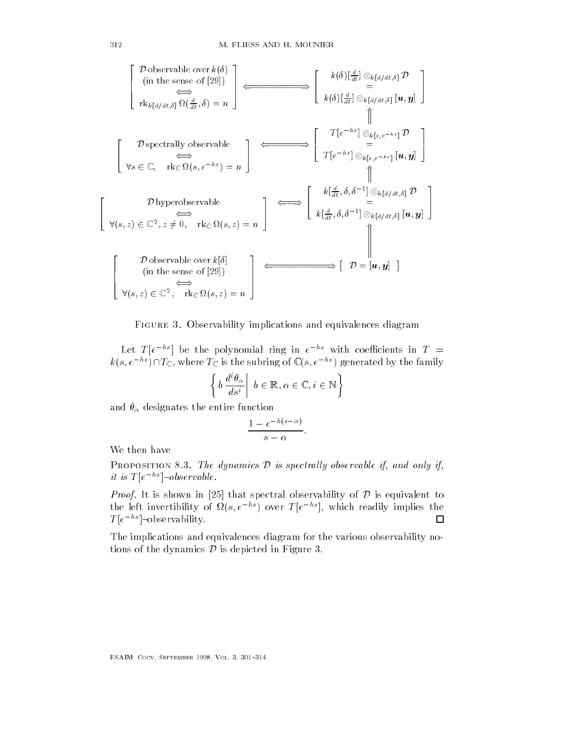

Figure - Observability implications and equivalences diagram

Let  $I$   $|e|$   $|e|$  be the polynomial ring in  $e$   $|e|$  with coefficients in  $I$   $=$  $k(s, e^{-ns}) \cap T_{\mathbb{C}}$ , where  $T_{\mathbb{C}}$  is the subring of  $\mathbb{C}(s, e^{-ns})$  generated by the family

$$
\left\{ b \, \frac{d^i \theta_\alpha}{d s^i} \middle| b \in \mathbb{R}, \alpha \in \mathbb{C}, i \in \mathbb{N} \right\}
$$

and  $\theta_{\alpha}$  designates the entire function

$$
\frac{1-e^{-h(s-\alpha)}}{s-\alpha}.
$$

We then have

PROPOSITION 8.3. The dynamics D is spectrally observable if, and only if,  $\left| u \right\rangle$  is  $\left| u \right\rangle = \left| u \right\rangle$  is  $\left| u \right\rangle = \left| u \right\rangle$  is extraording.

*Proof.* It is shown in [25] that spectral observability of D is equivalent to the left invertibility of  $\Omega(s, e^{-ns})$  over  $T[e^{-ns}]$ , which readily implies the 囗 T e-hs observability

The implications and equivalences diagram for the various observability no tions of the dynamics  $\mathcal D$  is depicted in Figure 3.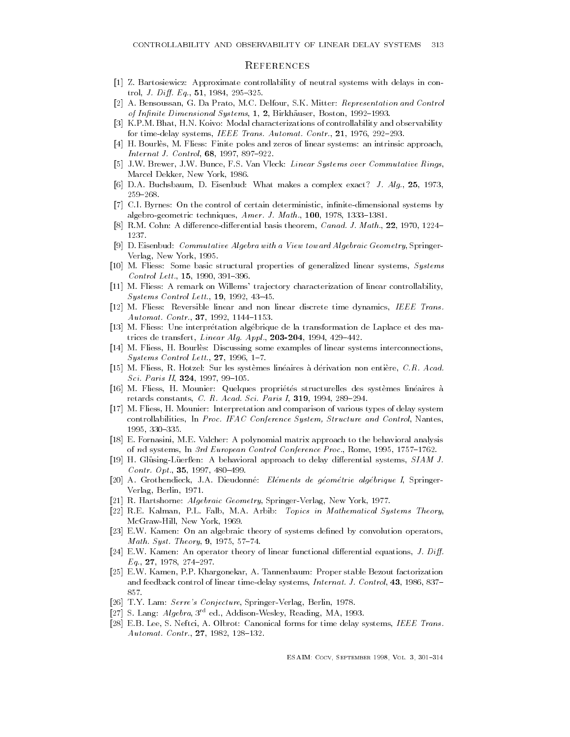## **REFERENCES**

- Z- Bartosiewicz Approximate controllability of neutral systems with delays in con trol Judget and the state of the state of the state of the state of the state of the state of the state of the
- A- Bensoussan G- Da Prato M-C- Delfour S-K- Mitter Representation and Control of Innite Dimensional System and  $B$  and  $B$  and  $B$  and  $B$  and  $B$  and  $B$  and  $B$  and  $B$
- K-P-M- Bhat H-N- Koivo Modal characterizations of controllability and observability for timedelay systems IEEE Trans- Automat- Contr- - -
- H- Bourles M- Fliess Finite poles and zeros of linear systems an intrinsic approach Internat J- Control -
- J-W- Brewer J-W- Bunce F-S- Van Vleck Linear Systems over Commutative Rings Marcel Dekker, New York, 1986.
- , a complex exact makes a complex exact makes a complex exact of the sample  $\mathcal{L}^{(1)}$ 259–268.
- C-I- Byrnes On the control of certain deterministic innitedimensional systems by algebrogen techniques and the state of the state  $\mathcal{A}$  and  $\mathcal{A}$  are the state of the state of the state of the state of the state of the state of the state of the state of the state of the state of the state of the
- R-M- Cohn A dierencedierential basis theorem Canad- J- Math- 1237.
- D- Eisenbud Commutative Algebra with a View toward Algebraic Geometry Springer Verlag, New York, 1995.
- M- Fliess Some basic structural properties of generalized linear systems Systems a control method, method, member of
- M- Fliess A remark on Willems tra jectory characterization of linear controllability  $\sim$  generator controls controlly controlly controlly controlled to  $\sim$
- M- Fliess Reversible linear and non linear discrete time dynamics IEEE Trans-Automat- Contr- -
- M- Fliess Une interpretation algebrique de la transformation de Laplace et des ma  $\boldsymbol{d}$  and  $\boldsymbol{d}$  and  $\boldsymbol{d}$  and  $\boldsymbol{d}$  and  $\boldsymbol{d}$  and  $\boldsymbol{d}$  and  $\boldsymbol{d}$  and  $\boldsymbol{d}$
- M- Fliess H- Bourles Discussing some examples of linear systems interconnections  $\mathcal{S}$  . The control Letter control Letter control Letter control Letter control Letter control Letter control Letter
- M- Fliess R- Hotzel Sur les systemes lineaires a derivation non entiere C-R- Acad-Sci- Paris II 
-
- M- Fliess H- Mounier Quelques proprietes structurelles des systemes lineaires a retards constants C- R- Acad- Sci- Paris I - -
- M- Fliess H- Mounier Interpretation and comparison of various types of delay system controllabilities In Proc- IFAC Conference System Structure and Control Nantes 1995, 330-335.
- E- Fornasini M-E- Valcher A polynomial matrix approach to the behavioral analysis of the systems I for the European Control Conference Process Process Process Process Process Process Process P
- H- GlusingLuer en A behavioral approach to delay dierential systems SIAM J-Contr- Opt- -
- A- Grothendieck J-A- Dieudonne Elements de geometrie algebrique I Springer Verlag, Berlin, 1971.
- $R$ -reference and  $R$ -reference  $R$  and  $R$ -reference  $R$  and  $R$ -reference  $R$
- R-E- Kalman P-L- Falb M-A- Arbib Topics in Mathematical Systems Theory McGraw-Hill, New York, 1969.
- E-W- Kamen On an algebraic theory of systems dened by convolution operators me ment a great contrary gate a contrary of the second
- E-W- Kamen An operator theory of linear functional dierential equations J- Di-Eq- -
- E-W- Kamen P-P- Khargonekar A- Tannenbaum Proper stable Bezout factorization and feedback control of the finest times International Control of Linear Control of Linear Control of Linear C 857.
- $\overline{y}$  y and  $\overline{y}$  and  $\overline{y}$  and  $\overline{y}$  and  $\overline{y}$  and  $\overline{y}$  and  $\overline{y}$  and  $\overline{y}$  and  $\overline{y}$  and  $\overline{y}$  and  $\overline{y}$  and  $\overline{y}$  and  $\overline{y}$  and  $\overline{y}$  and  $\overline{y}$  and  $\overline{y}$  and  $\overline{y}$  an
- $\lvert z \rvert$  S. Lang: Algebra, 3 eq., Addison-Wesley, Reading, MA, 1993.
- e-, man maa, si parallel forms forms forms forms forms forms forms forms forms forms forms forms in Automat- Contr- -